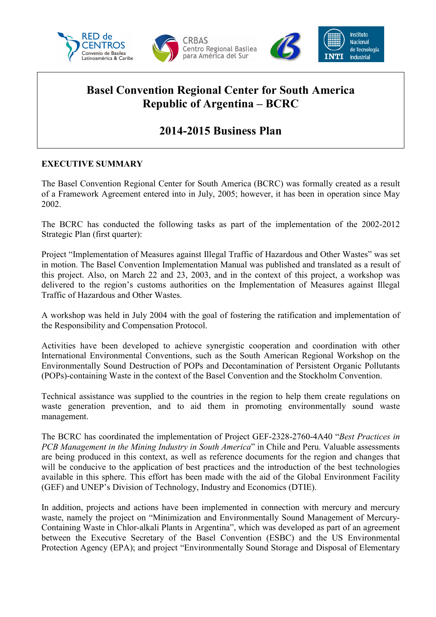





# Basel Convention Regional Center for South America Republic of Argentina – BCRC

# 2014-2015 Business Plan

# EXECUTIVE SUMMARY

The Basel Convention Regional Center for South America (BCRC) was formally created as a result of a Framework Agreement entered into in July, 2005; however, it has been in operation since May 2002.

The BCRC has conducted the following tasks as part of the implementation of the 2002-2012 Strategic Plan (first quarter):

Project "Implementation of Measures against Illegal Traffic of Hazardous and Other Wastes" was set in motion. The Basel Convention Implementation Manual was published and translated as a result of this project. Also, on March 22 and 23, 2003, and in the context of this project, a workshop was delivered to the region's customs authorities on the Implementation of Measures against Illegal Traffic of Hazardous and Other Wastes.

A workshop was held in July 2004 with the goal of fostering the ratification and implementation of the Responsibility and Compensation Protocol.

Activities have been developed to achieve synergistic cooperation and coordination with other International Environmental Conventions, such as the South American Regional Workshop on the Environmentally Sound Destruction of POPs and Decontamination of Persistent Organic Pollutants (POPs)-containing Waste in the context of the Basel Convention and the Stockholm Convention.

Technical assistance was supplied to the countries in the region to help them create regulations on waste generation prevention, and to aid them in promoting environmentally sound waste management.

The BCRC has coordinated the implementation of Project GEF-2328-2760-4A40 "Best Practices in PCB Management in the Mining Industry in South America" in Chile and Peru. Valuable assessments are being produced in this context, as well as reference documents for the region and changes that will be conducive to the application of best practices and the introduction of the best technologies available in this sphere. This effort has been made with the aid of the Global Environment Facility (GEF) and UNEP's Division of Technology, Industry and Economics (DTIE).

In addition, projects and actions have been implemented in connection with mercury and mercury waste, namely the project on "Minimization and Environmentally Sound Management of Mercury-Containing Waste in Chlor-alkali Plants in Argentina", which was developed as part of an agreement between the Executive Secretary of the Basel Convention (ESBC) and the US Environmental Protection Agency (EPA); and project "Environmentally Sound Storage and Disposal of Elementary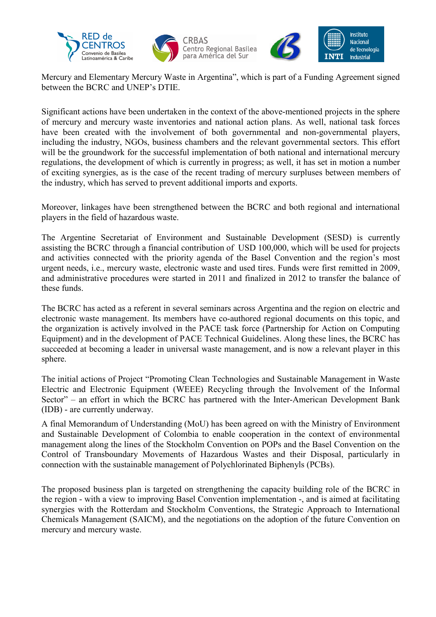





Mercury and Elementary Mercury Waste in Argentina", which is part of a Funding Agreement signed between the BCRC and UNEP's DTIE.

Significant actions have been undertaken in the context of the above-mentioned projects in the sphere of mercury and mercury waste inventories and national action plans. As well, national task forces have been created with the involvement of both governmental and non-governmental players, including the industry, NGOs, business chambers and the relevant governmental sectors. This effort will be the groundwork for the successful implementation of both national and international mercury regulations, the development of which is currently in progress; as well, it has set in motion a number of exciting synergies, as is the case of the recent trading of mercury surpluses between members of the industry, which has served to prevent additional imports and exports.

Moreover, linkages have been strengthened between the BCRC and both regional and international players in the field of hazardous waste.

The Argentine Secretariat of Environment and Sustainable Development (SESD) is currently assisting the BCRC through a financial contribution of USD 100,000, which will be used for projects and activities connected with the priority agenda of the Basel Convention and the region's most urgent needs, i.e., mercury waste, electronic waste and used tires. Funds were first remitted in 2009, and administrative procedures were started in 2011 and finalized in 2012 to transfer the balance of these funds.

The BCRC has acted as a referent in several seminars across Argentina and the region on electric and electronic waste management. Its members have co-authored regional documents on this topic, and the organization is actively involved in the PACE task force (Partnership for Action on Computing Equipment) and in the development of PACE Technical Guidelines. Along these lines, the BCRC has succeeded at becoming a leader in universal waste management, and is now a relevant player in this sphere.

The initial actions of Project "Promoting Clean Technologies and Sustainable Management in Waste Electric and Electronic Equipment (WEEE) Recycling through the Involvement of the Informal Sector" – an effort in which the BCRC has partnered with the Inter-American Development Bank (IDB) - are currently underway.

A final Memorandum of Understanding (MoU) has been agreed on with the Ministry of Environment and Sustainable Development of Colombia to enable cooperation in the context of environmental management along the lines of the Stockholm Convention on POPs and the Basel Convention on the Control of Transboundary Movements of Hazardous Wastes and their Disposal, particularly in connection with the sustainable management of Polychlorinated Biphenyls (PCBs).

The proposed business plan is targeted on strengthening the capacity building role of the BCRC in the region - with a view to improving Basel Convention implementation -, and is aimed at facilitating synergies with the Rotterdam and Stockholm Conventions, the Strategic Approach to International Chemicals Management (SAICM), and the negotiations on the adoption of the future Convention on mercury and mercury waste.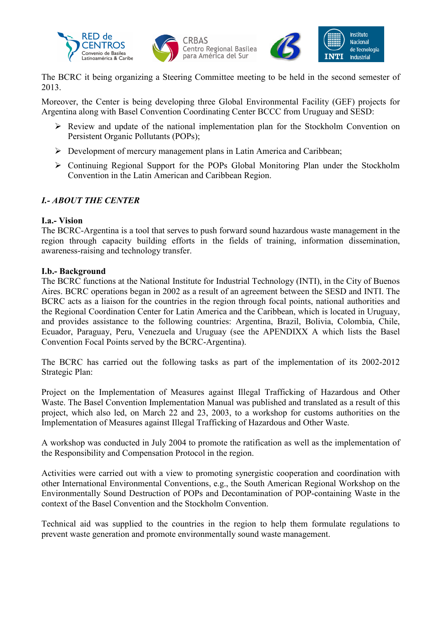



The BCRC it being organizing a Steering Committee meeting to be held in the second semester of 2013.

Moreover, the Center is being developing three Global Environmental Facility (GEF) projects for Argentina along with Basel Convention Coordinating Center BCCC from Uruguay and SESD:

- $\triangleright$  Review and update of the national implementation plan for the Stockholm Convention on Persistent Organic Pollutants (POPs);
- $\triangleright$  Development of mercury management plans in Latin America and Caribbean;
- Continuing Regional Support for the POPs Global Monitoring Plan under the Stockholm Convention in the Latin American and Caribbean Region.

# I.- ABOUT THE CENTER

## I.a.- Vision

The BCRC-Argentina is a tool that serves to push forward sound hazardous waste management in the region through capacity building efforts in the fields of training, information dissemination, awareness-raising and technology transfer.

## I.b.- Background

The BCRC functions at the National Institute for Industrial Technology (INTI), in the City of Buenos Aires. BCRC operations began in 2002 as a result of an agreement between the SESD and INTI. The BCRC acts as a liaison for the countries in the region through focal points, national authorities and the Regional Coordination Center for Latin America and the Caribbean, which is located in Uruguay, and provides assistance to the following countries: Argentina, Brazil, Bolivia, Colombia, Chile, Ecuador, Paraguay, Peru, Venezuela and Uruguay (see the APENDIXX A which lists the Basel Convention Focal Points served by the BCRC-Argentina).

The BCRC has carried out the following tasks as part of the implementation of its 2002-2012 Strategic Plan:

Project on the Implementation of Measures against Illegal Trafficking of Hazardous and Other Waste. The Basel Convention Implementation Manual was published and translated as a result of this project, which also led, on March 22 and 23, 2003, to a workshop for customs authorities on the Implementation of Measures against Illegal Trafficking of Hazardous and Other Waste.

A workshop was conducted in July 2004 to promote the ratification as well as the implementation of the Responsibility and Compensation Protocol in the region.

Activities were carried out with a view to promoting synergistic cooperation and coordination with other International Environmental Conventions, e.g., the South American Regional Workshop on the Environmentally Sound Destruction of POPs and Decontamination of POP-containing Waste in the context of the Basel Convention and the Stockholm Convention.

Technical aid was supplied to the countries in the region to help them formulate regulations to prevent waste generation and promote environmentally sound waste management.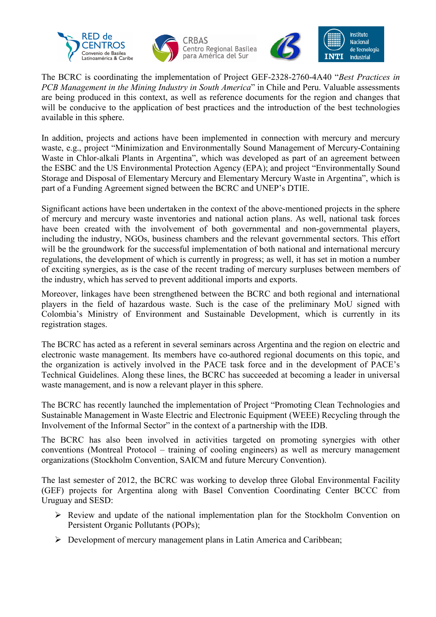





The BCRC is coordinating the implementation of Project GEF-2328-2760-4A40 "Best Practices in PCB Management in the Mining Industry in South America" in Chile and Peru. Valuable assessments are being produced in this context, as well as reference documents for the region and changes that will be conducive to the application of best practices and the introduction of the best technologies available in this sphere.

In addition, projects and actions have been implemented in connection with mercury and mercury waste, e.g., project "Minimization and Environmentally Sound Management of Mercury-Containing Waste in Chlor-alkali Plants in Argentina", which was developed as part of an agreement between the ESBC and the US Environmental Protection Agency (EPA); and project "Environmentally Sound Storage and Disposal of Elementary Mercury and Elementary Mercury Waste in Argentina", which is part of a Funding Agreement signed between the BCRC and UNEP's DTIE.

Significant actions have been undertaken in the context of the above-mentioned projects in the sphere of mercury and mercury waste inventories and national action plans. As well, national task forces have been created with the involvement of both governmental and non-governmental players, including the industry, NGOs, business chambers and the relevant governmental sectors. This effort will be the groundwork for the successful implementation of both national and international mercury regulations, the development of which is currently in progress; as well, it has set in motion a number of exciting synergies, as is the case of the recent trading of mercury surpluses between members of the industry, which has served to prevent additional imports and exports.

Moreover, linkages have been strengthened between the BCRC and both regional and international players in the field of hazardous waste. Such is the case of the preliminary MoU signed with Colombia's Ministry of Environment and Sustainable Development, which is currently in its registration stages.

The BCRC has acted as a referent in several seminars across Argentina and the region on electric and electronic waste management. Its members have co-authored regional documents on this topic, and the organization is actively involved in the PACE task force and in the development of PACE's Technical Guidelines. Along these lines, the BCRC has succeeded at becoming a leader in universal waste management, and is now a relevant player in this sphere.

The BCRC has recently launched the implementation of Project "Promoting Clean Technologies and Sustainable Management in Waste Electric and Electronic Equipment (WEEE) Recycling through the Involvement of the Informal Sector" in the context of a partnership with the IDB.

The BCRC has also been involved in activities targeted on promoting synergies with other conventions (Montreal Protocol – training of cooling engineers) as well as mercury management organizations (Stockholm Convention, SAICM and future Mercury Convention).

The last semester of 2012, the BCRC was working to develop three Global Environmental Facility (GEF) projects for Argentina along with Basel Convention Coordinating Center BCCC from Uruguay and SESD:

- $\triangleright$  Review and update of the national implementation plan for the Stockholm Convention on Persistent Organic Pollutants (POPs);
- Development of mercury management plans in Latin America and Caribbean;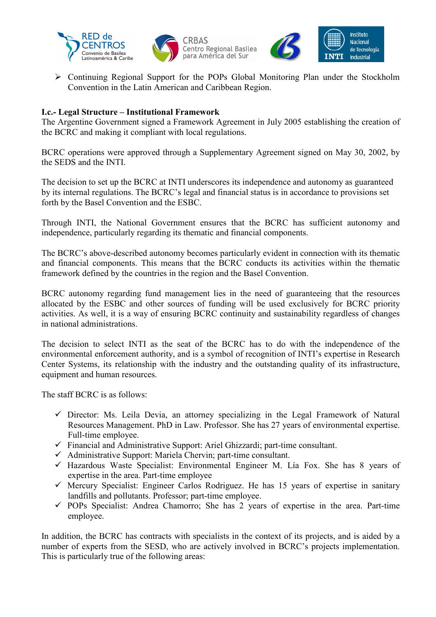





 Continuing Regional Support for the POPs Global Monitoring Plan under the Stockholm Convention in the Latin American and Caribbean Region.

## I.c.- Legal Structure – Institutional Framework

The Argentine Government signed a Framework Agreement in July 2005 establishing the creation of the BCRC and making it compliant with local regulations.

BCRC operations were approved through a Supplementary Agreement signed on May 30, 2002, by the SEDS and the INTI.

The decision to set up the BCRC at INTI underscores its independence and autonomy as guaranteed by its internal regulations. The BCRC's legal and financial status is in accordance to provisions set forth by the Basel Convention and the ESBC.

Through INTI, the National Government ensures that the BCRC has sufficient autonomy and independence, particularly regarding its thematic and financial components.

The BCRC's above-described autonomy becomes particularly evident in connection with its thematic and financial components. This means that the BCRC conducts its activities within the thematic framework defined by the countries in the region and the Basel Convention.

BCRC autonomy regarding fund management lies in the need of guaranteeing that the resources allocated by the ESBC and other sources of funding will be used exclusively for BCRC priority activities. As well, it is a way of ensuring BCRC continuity and sustainability regardless of changes in national administrations.

The decision to select INTI as the seat of the BCRC has to do with the independence of the environmental enforcement authority, and is a symbol of recognition of INTI's expertise in Research Center Systems, its relationship with the industry and the outstanding quality of its infrastructure, equipment and human resources.

The staff BCRC is as follows:

- Director: Ms. Leila Devia, an attorney specializing in the Legal Framework of Natural Resources Management. PhD in Law. Professor. She has 27 years of environmental expertise. Full-time employee.
- Financial and Administrative Support: Ariel Ghizzardi; part-time consultant.
- Administrative Support: Mariela Chervin; part-time consultant.
- Hazardous Waste Specialist: Environmental Engineer M. Lía Fox. She has 8 years of expertise in the area. Part-time employee
- Mercury Specialist: Engineer Carlos Rodriguez. He has 15 years of expertise in sanitary landfills and pollutants. Professor; part-time employee.
- $\checkmark$  POPs Specialist: Andrea Chamorro; She has 2 years of expertise in the area. Part-time employee.

In addition, the BCRC has contracts with specialists in the context of its projects, and is aided by a number of experts from the SESD, who are actively involved in BCRC's projects implementation. This is particularly true of the following areas: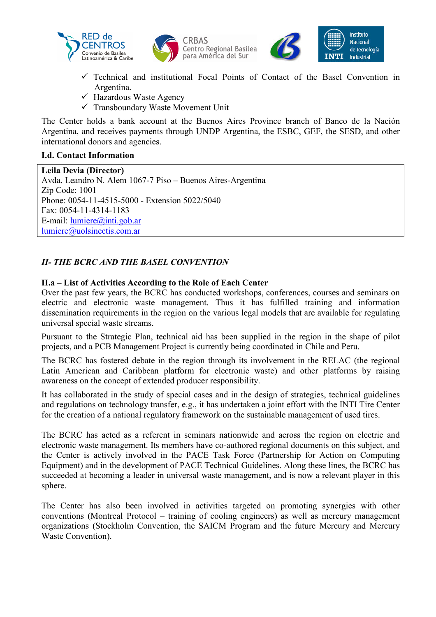





- Technical and institutional Focal Points of Contact of the Basel Convention in Argentina.
- Hazardous Waste Agency
- Transboundary Waste Movement Unit

The Center holds a bank account at the Buenos Aires Province branch of Banco de la Nación Argentina, and receives payments through UNDP Argentina, the ESBC, GEF, the SESD, and other international donors and agencies.

## I.d. Contact Information

Leila Devia (Director) Avda. Leandro N. Alem 1067-7 Piso – Buenos Aires-Argentina Zip Code: 1001 Phone: 0054-11-4515-5000 - Extension 5022/5040 Fax: 0054-11-4314-1183 E-mail: lumiere@inti.gob.ar lumiere@uolsinectis.com.ar

# II- THE BCRC AND THE BASEL CONVENTION

## II.a – List of Activities According to the Role of Each Center

Over the past few years, the BCRC has conducted workshops, conferences, courses and seminars on electric and electronic waste management. Thus it has fulfilled training and information dissemination requirements in the region on the various legal models that are available for regulating universal special waste streams.

Pursuant to the Strategic Plan, technical aid has been supplied in the region in the shape of pilot projects, and a PCB Management Project is currently being coordinated in Chile and Peru.

The BCRC has fostered debate in the region through its involvement in the RELAC (the regional Latin American and Caribbean platform for electronic waste) and other platforms by raising awareness on the concept of extended producer responsibility.

It has collaborated in the study of special cases and in the design of strategies, technical guidelines and regulations on technology transfer, e.g., it has undertaken a joint effort with the INTI Tire Center for the creation of a national regulatory framework on the sustainable management of used tires.

The BCRC has acted as a referent in seminars nationwide and across the region on electric and electronic waste management. Its members have co-authored regional documents on this subject, and the Center is actively involved in the PACE Task Force (Partnership for Action on Computing Equipment) and in the development of PACE Technical Guidelines. Along these lines, the BCRC has succeeded at becoming a leader in universal waste management, and is now a relevant player in this sphere.

The Center has also been involved in activities targeted on promoting synergies with other conventions (Montreal Protocol – training of cooling engineers) as well as mercury management organizations (Stockholm Convention, the SAICM Program and the future Mercury and Mercury Waste Convention).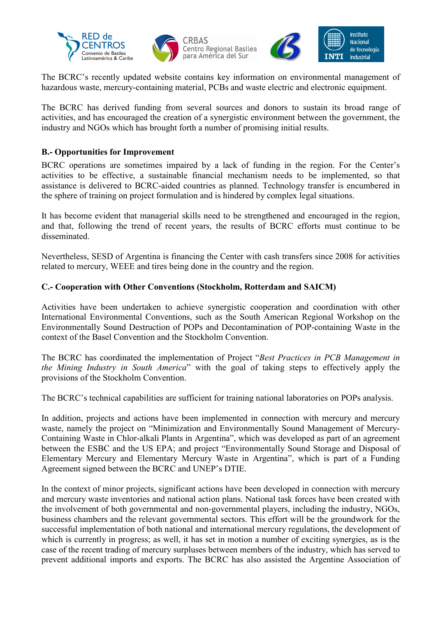





The BCRC's recently updated website contains key information on environmental management of hazardous waste, mercury-containing material, PCBs and waste electric and electronic equipment.

The BCRC has derived funding from several sources and donors to sustain its broad range of activities, and has encouraged the creation of a synergistic environment between the government, the industry and NGOs which has brought forth a number of promising initial results.

#### B.- Opportunities for Improvement

BCRC operations are sometimes impaired by a lack of funding in the region. For the Center's activities to be effective, a sustainable financial mechanism needs to be implemented, so that assistance is delivered to BCRC-aided countries as planned. Technology transfer is encumbered in the sphere of training on project formulation and is hindered by complex legal situations.

It has become evident that managerial skills need to be strengthened and encouraged in the region, and that, following the trend of recent years, the results of BCRC efforts must continue to be disseminated.

Nevertheless, SESD of Argentina is financing the Center with cash transfers since 2008 for activities related to mercury, WEEE and tires being done in the country and the region.

#### C.- Cooperation with Other Conventions (Stockholm, Rotterdam and SAICM)

Activities have been undertaken to achieve synergistic cooperation and coordination with other International Environmental Conventions, such as the South American Regional Workshop on the Environmentally Sound Destruction of POPs and Decontamination of POP-containing Waste in the context of the Basel Convention and the Stockholm Convention.

The BCRC has coordinated the implementation of Project "Best Practices in PCB Management in the Mining Industry in South America" with the goal of taking steps to effectively apply the provisions of the Stockholm Convention.

The BCRC's technical capabilities are sufficient for training national laboratories on POPs analysis.

In addition, projects and actions have been implemented in connection with mercury and mercury waste, namely the project on "Minimization and Environmentally Sound Management of Mercury-Containing Waste in Chlor-alkali Plants in Argentina", which was developed as part of an agreement between the ESBC and the US EPA; and project "Environmentally Sound Storage and Disposal of Elementary Mercury and Elementary Mercury Waste in Argentina", which is part of a Funding Agreement signed between the BCRC and UNEP's DTIE.

In the context of minor projects, significant actions have been developed in connection with mercury and mercury waste inventories and national action plans. National task forces have been created with the involvement of both governmental and non-governmental players, including the industry, NGOs, business chambers and the relevant governmental sectors. This effort will be the groundwork for the successful implementation of both national and international mercury regulations, the development of which is currently in progress; as well, it has set in motion a number of exciting synergies, as is the case of the recent trading of mercury surpluses between members of the industry, which has served to prevent additional imports and exports. The BCRC has also assisted the Argentine Association of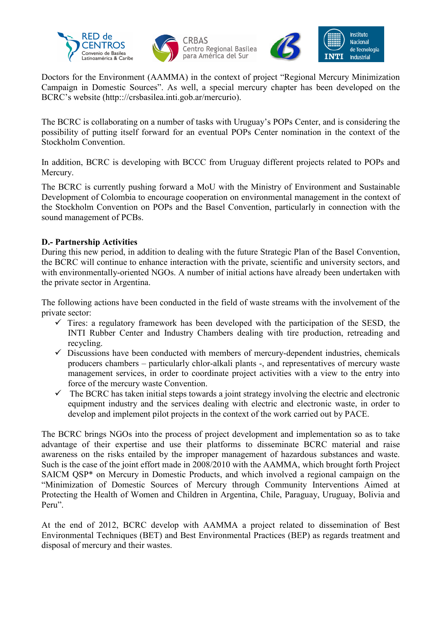





Doctors for the Environment (AAMMA) in the context of project "Regional Mercury Minimization Campaign in Domestic Sources". As well, a special mercury chapter has been developed on the BCRC's website (http:://crsbasilea.inti.gob.ar/mercurio).

The BCRC is collaborating on a number of tasks with Uruguay's POPs Center, and is considering the possibility of putting itself forward for an eventual POPs Center nomination in the context of the Stockholm Convention.

In addition, BCRC is developing with BCCC from Uruguay different projects related to POPs and Mercury.

The BCRC is currently pushing forward a MoU with the Ministry of Environment and Sustainable Development of Colombia to encourage cooperation on environmental management in the context of the Stockholm Convention on POPs and the Basel Convention, particularly in connection with the sound management of PCBs.

## D.- Partnership Activities

During this new period, in addition to dealing with the future Strategic Plan of the Basel Convention, the BCRC will continue to enhance interaction with the private, scientific and university sectors, and with environmentally-oriented NGOs. A number of initial actions have already been undertaken with the private sector in Argentina.

The following actions have been conducted in the field of waste streams with the involvement of the private sector:

- $\checkmark$  Tires: a regulatory framework has been developed with the participation of the SESD, the INTI Rubber Center and Industry Chambers dealing with tire production, retreading and recycling.
- $\checkmark$  Discussions have been conducted with members of mercury-dependent industries, chemicals producers chambers – particularly chlor-alkali plants -, and representatives of mercury waste management services, in order to coordinate project activities with a view to the entry into force of the mercury waste Convention.
- $\checkmark$  The BCRC has taken initial steps towards a joint strategy involving the electric and electronic equipment industry and the services dealing with electric and electronic waste, in order to develop and implement pilot projects in the context of the work carried out by PACE.

The BCRC brings NGOs into the process of project development and implementation so as to take advantage of their expertise and use their platforms to disseminate BCRC material and raise awareness on the risks entailed by the improper management of hazardous substances and waste. Such is the case of the joint effort made in 2008/2010 with the AAMMA, which brought forth Project SAICM QSP\* on Mercury in Domestic Products, and which involved a regional campaign on the "Minimization of Domestic Sources of Mercury through Community Interventions Aimed at Protecting the Health of Women and Children in Argentina, Chile, Paraguay, Uruguay, Bolivia and Peru".

At the end of 2012, BCRC develop with AAMMA a project related to dissemination of Best Environmental Techniques (BET) and Best Environmental Practices (BEP) as regards treatment and disposal of mercury and their wastes.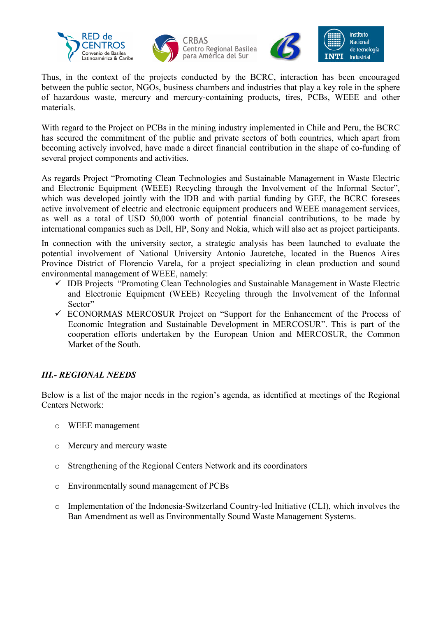





Thus, in the context of the projects conducted by the BCRC, interaction has been encouraged between the public sector, NGOs, business chambers and industries that play a key role in the sphere of hazardous waste, mercury and mercury-containing products, tires, PCBs, WEEE and other materials.

With regard to the Project on PCBs in the mining industry implemented in Chile and Peru, the BCRC has secured the commitment of the public and private sectors of both countries, which apart from becoming actively involved, have made a direct financial contribution in the shape of co-funding of several project components and activities.

As regards Project "Promoting Clean Technologies and Sustainable Management in Waste Electric and Electronic Equipment (WEEE) Recycling through the Involvement of the Informal Sector", which was developed jointly with the IDB and with partial funding by GEF, the BCRC foresees active involvement of electric and electronic equipment producers and WEEE management services, as well as a total of USD 50,000 worth of potential financial contributions, to be made by international companies such as Dell, HP, Sony and Nokia, which will also act as project participants.

In connection with the university sector, a strategic analysis has been launched to evaluate the potential involvement of National University Antonio Jauretche, located in the Buenos Aires Province District of Florencio Varela, for a project specializing in clean production and sound environmental management of WEEE, namely:

- IDB Projects "Promoting Clean Technologies and Sustainable Management in Waste Electric and Electronic Equipment (WEEE) Recycling through the Involvement of the Informal Sector"
- ECONORMAS MERCOSUR Project on "Support for the Enhancement of the Process of Economic Integration and Sustainable Development in MERCOSUR". This is part of the cooperation efforts undertaken by the European Union and MERCOSUR, the Common Market of the South.

# III.- REGIONAL NEEDS

Below is a list of the major needs in the region's agenda, as identified at meetings of the Regional Centers Network:

- o WEEE management
- o Mercury and mercury waste
- o Strengthening of the Regional Centers Network and its coordinators
- o Environmentally sound management of PCBs
- o Implementation of the Indonesia-Switzerland Country-led Initiative (CLI), which involves the Ban Amendment as well as Environmentally Sound Waste Management Systems.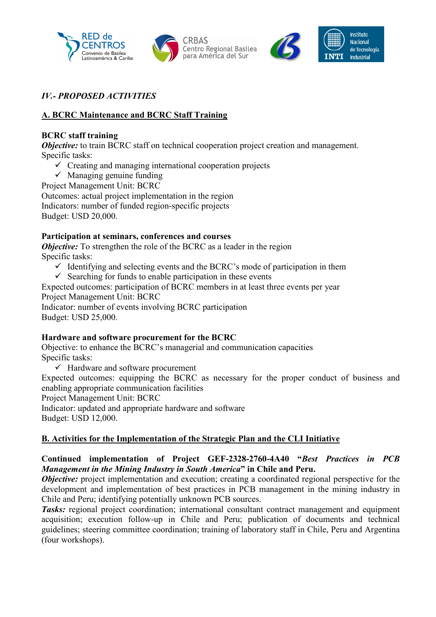





## IV.- PROPOSED ACTIVITIES

## A. BCRC Maintenance and BCRC Staff Training

#### BCRC staff training

**Objective:** to train BCRC staff on technical cooperation project creation and management. Specific tasks:

- Creating and managing international cooperation projects
- $\checkmark$  Managing genuine funding

Project Management Unit: BCRC Outcomes: actual project implementation in the region Indicators: number of funded region-specific projects Budget: USD 20,000.

## Participation at seminars, conferences and courses

*Objective:* To strengthen the role of the BCRC as a leader in the region Specific tasks:

- $\checkmark$  Identifying and selecting events and the BCRC's mode of participation in them
- $\checkmark$  Searching for funds to enable participation in these events

Expected outcomes: participation of BCRC members in at least three events per year Project Management Unit: BCRC

Indicator: number of events involving BCRC participation Budget: USD 25,000.

## Hardware and software procurement for the BCRC

Objective: to enhance the BCRC's managerial and communication capacities Specific tasks:

- Hardware and software procurement

Expected outcomes: equipping the BCRC as necessary for the proper conduct of business and enabling appropriate communication facilities

Project Management Unit: BCRC

Indicator: updated and appropriate hardware and software Budget: USD 12,000.

## B. Activities for the Implementation of the Strategic Plan and the CLI Initiative

## Continued implementation of Project GEF-2328-2760-4A40 "Best Practices in PCB Management in the Mining Industry in South America" in Chile and Peru.

*Objective:* project implementation and execution; creating a coordinated regional perspective for the development and implementation of best practices in PCB management in the mining industry in Chile and Peru; identifying potentially unknown PCB sources.

**Tasks:** regional project coordination; international consultant contract management and equipment acquisition; execution follow-up in Chile and Peru; publication of documents and technical guidelines; steering committee coordination; training of laboratory staff in Chile, Peru and Argentina (four workshops).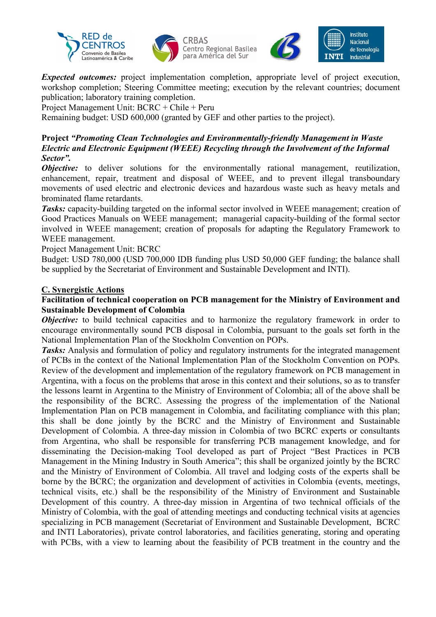





**Expected outcomes:** project implementation completion, appropriate level of project execution, workshop completion; Steering Committee meeting; execution by the relevant countries; document publication; laboratory training completion.

Project Management Unit: BCRC + Chile + Peru

Remaining budget: USD 600,000 (granted by GEF and other parties to the project).

#### Project "Promoting Clean Technologies and Environmentally-friendly Management in Waste Electric and Electronic Equipment (WEEE) Recycling through the Involvement of the Informal Sector".

**Objective:** to deliver solutions for the environmentally rational management, reutilization, enhancement, repair, treatment and disposal of WEEE, and to prevent illegal transboundary movements of used electric and electronic devices and hazardous waste such as heavy metals and brominated flame retardants.

Tasks: capacity-building targeted on the informal sector involved in WEEE management; creation of Good Practices Manuals on WEEE management; managerial capacity-building of the formal sector involved in WEEE management; creation of proposals for adapting the Regulatory Framework to WEEE management.

Project Management Unit: BCRC

Budget: USD 780,000 (USD 700,000 IDB funding plus USD 50,000 GEF funding; the balance shall be supplied by the Secretariat of Environment and Sustainable Development and INTI).

#### C. Synergistic Actions

#### Facilitation of technical cooperation on PCB management for the Ministry of Environment and Sustainable Development of Colombia

**Objective:** to build technical capacities and to harmonize the regulatory framework in order to encourage environmentally sound PCB disposal in Colombia, pursuant to the goals set forth in the National Implementation Plan of the Stockholm Convention on POPs.

Tasks: Analysis and formulation of policy and regulatory instruments for the integrated management of PCBs in the context of the National Implementation Plan of the Stockholm Convention on POPs. Review of the development and implementation of the regulatory framework on PCB management in Argentina, with a focus on the problems that arose in this context and their solutions, so as to transfer the lessons learnt in Argentina to the Ministry of Environment of Colombia; all of the above shall be the responsibility of the BCRC. Assessing the progress of the implementation of the National Implementation Plan on PCB management in Colombia, and facilitating compliance with this plan; this shall be done jointly by the BCRC and the Ministry of Environment and Sustainable Development of Colombia. A three-day mission in Colombia of two BCRC experts or consultants from Argentina, who shall be responsible for transferring PCB management knowledge, and for disseminating the Decision-making Tool developed as part of Project "Best Practices in PCB Management in the Mining Industry in South America"; this shall be organized jointly by the BCRC and the Ministry of Environment of Colombia. All travel and lodging costs of the experts shall be borne by the BCRC; the organization and development of activities in Colombia (events, meetings, technical visits, etc.) shall be the responsibility of the Ministry of Environment and Sustainable Development of this country. A three-day mission in Argentina of two technical officials of the Ministry of Colombia, with the goal of attending meetings and conducting technical visits at agencies specializing in PCB management (Secretariat of Environment and Sustainable Development, BCRC and INTI Laboratories), private control laboratories, and facilities generating, storing and operating with PCBs, with a view to learning about the feasibility of PCB treatment in the country and the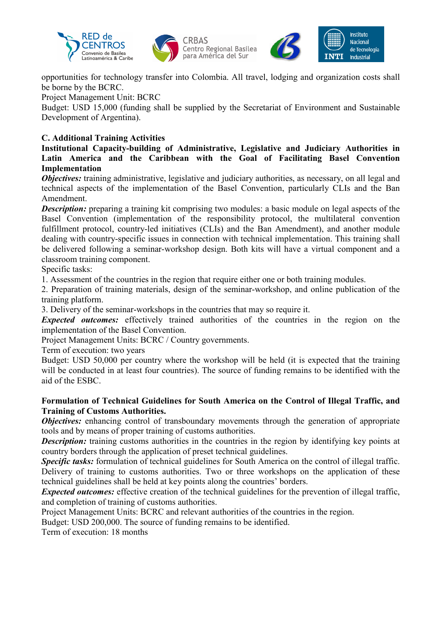





opportunities for technology transfer into Colombia. All travel, lodging and organization costs shall be borne by the BCRC.

Project Management Unit: BCRC

Budget: USD 15,000 (funding shall be supplied by the Secretariat of Environment and Sustainable Development of Argentina).

# C. Additional Training Activities

#### Institutional Capacity-building of Administrative, Legislative and Judiciary Authorities in Latin America and the Caribbean with the Goal of Facilitating Basel Convention Implementation

*Objectives:* training administrative, legislative and judiciary authorities, as necessary, on all legal and technical aspects of the implementation of the Basel Convention, particularly CLIs and the Ban Amendment.

**Description:** preparing a training kit comprising two modules: a basic module on legal aspects of the Basel Convention (implementation of the responsibility protocol, the multilateral convention fulfillment protocol, country-led initiatives (CLIs) and the Ban Amendment), and another module dealing with country-specific issues in connection with technical implementation. This training shall be delivered following a seminar-workshop design. Both kits will have a virtual component and a classroom training component.

Specific tasks:

1. Assessment of the countries in the region that require either one or both training modules.

2. Preparation of training materials, design of the seminar-workshop, and online publication of the training platform.

3. Delivery of the seminar-workshops in the countries that may so require it.

**Expected outcomes:** effectively trained authorities of the countries in the region on the implementation of the Basel Convention.

Project Management Units: BCRC / Country governments.

Term of execution: two years

Budget: USD 50,000 per country where the workshop will be held (it is expected that the training will be conducted in at least four countries). The source of funding remains to be identified with the aid of the ESBC.

## Formulation of Technical Guidelines for South America on the Control of Illegal Traffic, and Training of Customs Authorities.

**Objectives:** enhancing control of transboundary movements through the generation of appropriate tools and by means of proper training of customs authorities.

**Description:** training customs authorities in the countries in the region by identifying key points at country borders through the application of preset technical guidelines.

Specific tasks: formulation of technical guidelines for South America on the control of illegal traffic. Delivery of training to customs authorities. Two or three workshops on the application of these technical guidelines shall be held at key points along the countries' borders.

Expected outcomes: effective creation of the technical guidelines for the prevention of illegal traffic, and completion of training of customs authorities.

Project Management Units: BCRC and relevant authorities of the countries in the region.

Budget: USD 200,000. The source of funding remains to be identified.

Term of execution: 18 months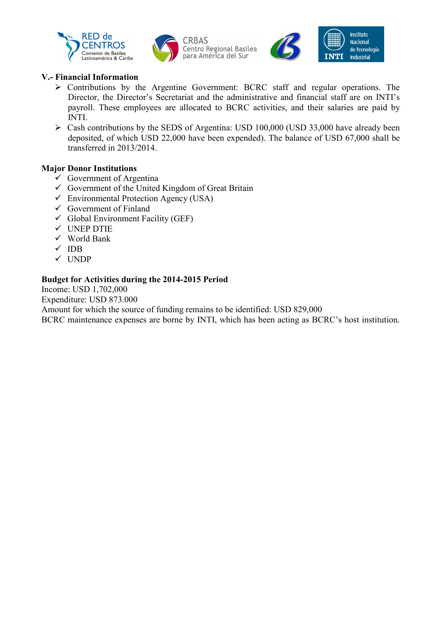





## V.- Financial Information

- $\triangleright$  Contributions by the Argentine Government: BCRC staff and regular operations. The Director, the Director's Secretariat and the administrative and financial staff are on INTI's payroll. These employees are allocated to BCRC activities, and their salaries are paid by INTI.
- $\triangleright$  Cash contributions by the SEDS of Argentina: USD 100,000 (USD 33,000 have already been deposited, of which USD 22,000 have been expended). The balance of USD 67,000 shall be transferred in 2013/2014.

#### Major Donor Institutions

- $\checkmark$  Government of Argentina
- Government of the United Kingdom of Great Britain
- Environmental Protection Agency (USA)
- Government of Finland
- Global Environment Facility (GEF)
- $\checkmark$  UNEP DTIE
- World Bank
- IDB
- UNDP

#### Budget for Activities during the 2014-2015 Period

Income: USD 1,702,000

Expenditure: USD 873.000

Amount for which the source of funding remains to be identified: USD 829,000

BCRC maintenance expenses are borne by INTI, which has been acting as BCRC's host institution.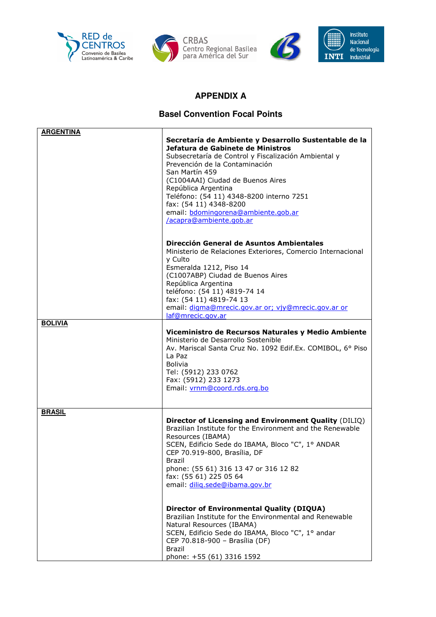





#### **APPENDIX A**

#### **Basel Convention Focal Points**

| <b>ARGENTINA</b> |                                                                                                                                                                                                                                                                                                                                                                                                                                                                                                                                                                                                 |
|------------------|-------------------------------------------------------------------------------------------------------------------------------------------------------------------------------------------------------------------------------------------------------------------------------------------------------------------------------------------------------------------------------------------------------------------------------------------------------------------------------------------------------------------------------------------------------------------------------------------------|
|                  | Secretaría de Ambiente y Desarrollo Sustentable de la<br>Jefatura de Gabinete de Ministros<br>Subsecretaría de Control y Fiscalización Ambiental y<br>Prevención de la Contaminación<br>San Martín 459<br>(C1004AAI) Ciudad de Buenos Aires<br>República Argentina<br>Teléfono: (54 11) 4348-8200 interno 7251<br>fax: (54 11) 4348-8200<br>email: bdomingorena@ambiente.gob.ar<br>/acapra@ambiente.gob.ar                                                                                                                                                                                      |
|                  | Dirección General de Asuntos Ambientales<br>Ministerio de Relaciones Exteriores, Comercio Internacional<br>y Culto<br>Esmeralda 1212, Piso 14<br>(C1007ABP) Ciudad de Buenos Aires<br>República Argentina<br>teléfono: (54 11) 4819-74 14<br>fax: (54 11) 4819-74 13<br>email: digma@mrecic.gov.ar or; vjy@mrecic.gov.ar or<br>laf@mrecic.gov.ar                                                                                                                                                                                                                                                |
| <b>BOLIVIA</b>   | Viceministro de Recursos Naturales y Medio Ambiente<br>Ministerio de Desarrollo Sostenible<br>Av. Mariscal Santa Cruz No. 1092 Edif.Ex. COMIBOL, 6° Piso<br>La Paz<br><b>Bolivia</b><br>Tel: (5912) 233 0762<br>Fax: (5912) 233 1273<br>Email: vrnm@coord.rds.org.bo                                                                                                                                                                                                                                                                                                                            |
| <b>BRASIL</b>    | Director of Licensing and Environment Quality (DILIQ)<br>Brazilian Institute for the Environment and the Renewable<br>Resources (IBAMA)<br>SCEN, Edificio Sede do IBAMA, Bloco "C", 1º ANDAR<br>CEP 70.919-800, Brasília, DF<br>Brazil<br>phone: (55 61) 316 13 47 or 316 12 82<br>fax: (55 61) 225 05 64<br>email: dilig.sede@ibama.gov.br<br><b>Director of Environmental Quality (DIQUA)</b><br>Brazilian Institute for the Environmental and Renewable<br>Natural Resources (IBAMA)<br>SCEN, Edificio Sede do IBAMA, Bloco "C", 1º andar<br>CEP 70.818-900 - Brasília (DF)<br><b>Brazil</b> |
|                  | phone: +55 (61) 3316 1592                                                                                                                                                                                                                                                                                                                                                                                                                                                                                                                                                                       |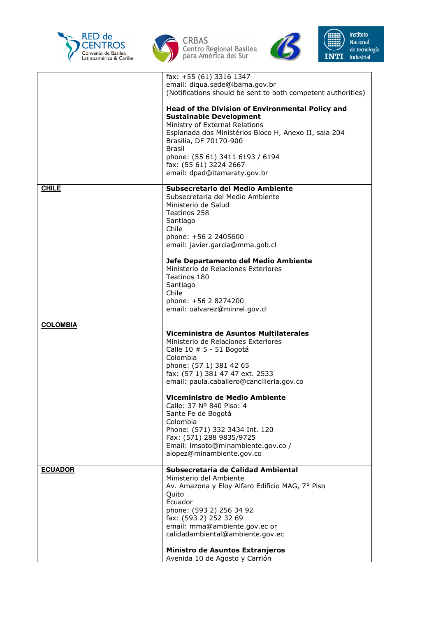





|                 | fax: $+55(61)$ 3316 1347<br>email: diqua.sede@ibama.gov.br<br>(Notifications should be sent to both competent authorities)<br><b>Head of the Division of Environmental Policy and</b><br><b>Sustainable Development</b><br>Ministry of External Relations<br>Esplanada dos Ministérios Bloco H, Anexo II, sala 204<br>Brasilia, DF 70170-900<br><b>Brasil</b><br>phone: (55 61) 3411 6193 / 6194<br>fax: (55 61) 3224 2667<br>email: dpad@itamaraty.gov.br |
|-----------------|------------------------------------------------------------------------------------------------------------------------------------------------------------------------------------------------------------------------------------------------------------------------------------------------------------------------------------------------------------------------------------------------------------------------------------------------------------|
| <b>CHILE</b>    | Subsecretario del Medio Ambiente<br>Subsecretaría del Medio Ambiente<br>Ministerio de Salud<br>Teatinos 258<br>Santiago<br>Chile<br>phone: +56 2 2405600<br>email: javier.garcia@mma.gob.cl<br>Jefe Departamento del Medio Ambiente<br>Ministerio de Relaciones Exteriores<br>Teatinos 180<br>Santiago<br>Chile<br>phone: +56 2 8274200<br>email: oalvarez@minrel.gov.cl                                                                                   |
| <b>COLOMBIA</b> | Viceministra de Asuntos Multilaterales<br>Ministerio de Relaciones Exteriores<br>Calle 10 # 5 - 51 Bogotá<br>Colombia<br>phone: (57 1) 381 42 65<br>fax: (57 1) 381 47 47 ext. 2533<br>email: paula.caballero@cancilleria.gov.co<br>Viceministro de Medio Ambiente                                                                                                                                                                                         |
|                 | Calle: 37 Nº 840 Piso: 4<br>Sante Fe de Bogotá<br>Colombia<br>Phone: (571) 332 3434 Int. 120<br>Fax: (571) 288 9835/9725<br>Email: Imsoto@minambiente.gov.co /<br>alopez@minambiente.gov.co                                                                                                                                                                                                                                                                |
| <b>ECUADOR</b>  | Subsecretaría de Calidad Ambiental<br>Ministerio del Ambiente<br>Av. Amazona y Eloy Alfaro Edificio MAG, 7° Piso<br>Quito<br>Ecuador<br>phone: (593 2) 256 34 92<br>fax: (593 2) 252 32 69<br>email: mma@ambiente.gov.ec or<br>calidadambiental@ambiente.gov.ec                                                                                                                                                                                            |
|                 | Ministro de Asuntos Extranjeros<br>Avenida 10 de Agosto y Carrión                                                                                                                                                                                                                                                                                                                                                                                          |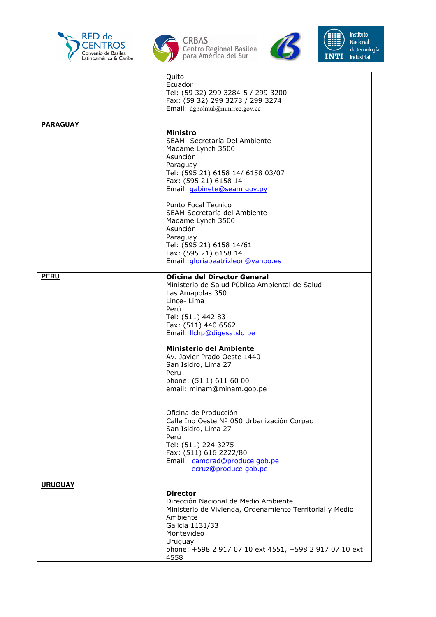





|                 | Quito<br>Ecuador<br>Tel: (59 32) 299 3284-5 / 299 3200<br>Fax: (59 32) 299 3273 / 299 3274<br>Email: dgpolmul@mmrree.gov.ec                                                                                                                                                                                                                                       |
|-----------------|-------------------------------------------------------------------------------------------------------------------------------------------------------------------------------------------------------------------------------------------------------------------------------------------------------------------------------------------------------------------|
| <b>PARAGUAY</b> | Ministro<br>SEAM- Secretaría Del Ambiente<br>Madame Lynch 3500<br>Asunción<br>Paraguay<br>Tel: (595 21) 6158 14/ 6158 03/07<br>Fax: (595 21) 6158 14<br>Email: gabinete@seam.gov.py<br>Punto Focal Técnico<br>SEAM Secretaría del Ambiente<br>Madame Lynch 3500<br>Asunción<br>Paraguay<br>Tel: (595 21) 6158 14/61                                               |
|                 | Fax: (595 21) 6158 14<br>Email: gloriabeatrizleon@yahoo.es                                                                                                                                                                                                                                                                                                        |
| <b>PERU</b>     | Oficina del Director General<br>Ministerio de Salud Pública Ambiental de Salud<br>Las Amapolas 350<br>Lince-Lima<br>Perú<br>Tel: (511) 442 83<br>Fax: (511) 440 6562<br>Email: <i>Ilchp@digesa.sld.pe</i><br><b>Ministerio del Ambiente</b><br>Av. Javier Prado Oeste 1440<br>San Isidro, Lima 27<br>Peru<br>phone: (51 1) 611 60 00<br>email: minam@minam.gob.pe |
|                 | Oficina de Producción<br>Calle Ino Oeste Nº 050 Urbanización Corpac<br>San Isidro, Lima 27<br>Perú<br>Tel: (511) 224 3275<br>Fax: (511) 616 2222/80<br>Email: camorad@produce.gob.pe<br>ecruz@produce.gob.pe                                                                                                                                                      |
| <b>URUGUAY</b>  | <b>Director</b><br>Dirección Nacional de Medio Ambiente<br>Ministerio de Vivienda, Ordenamiento Territorial y Medio<br>Ambiente<br>Galicia 1131/33<br>Montevideo<br>Uruguay<br>phone: +598 2 917 07 10 ext 4551, +598 2 917 07 10 ext<br>4558                                                                                                                     |